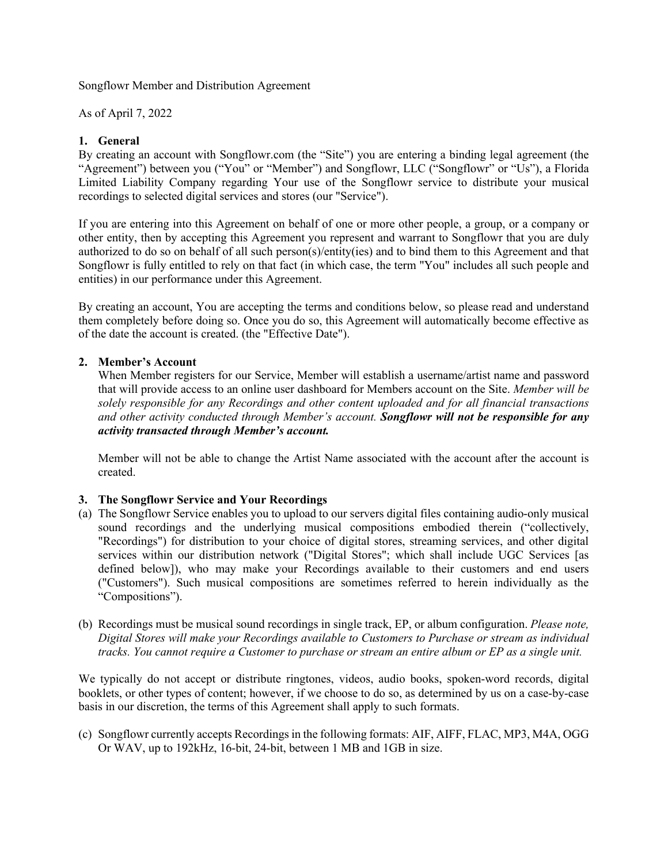Songflowr Member and Distribution Agreement

As of April 7, 2022

## **1. General**

By creating an account with Songflowr.com (the "Site") you are entering a binding legal agreement (the "Agreement") between you ("You" or "Member") and Songflowr, LLC ("Songflowr" or "Us"), a Florida Limited Liability Company regarding Your use of the Songflowr service to distribute your musical recordings to selected digital services and stores (our "Service").

If you are entering into this Agreement on behalf of one or more other people, a group, or a company or other entity, then by accepting this Agreement you represent and warrant to Songflowr that you are duly authorized to do so on behalf of all such person(s)/entity(ies) and to bind them to this Agreement and that Songflowr is fully entitled to rely on that fact (in which case, the term "You" includes all such people and entities) in our performance under this Agreement.

By creating an account, You are accepting the terms and conditions below, so please read and understand them completely before doing so. Once you do so, this Agreement will automatically become effective as of the date the account is created. (the "Effective Date").

## **2. Member's Account**

When Member registers for our Service, Member will establish a username/artist name and password that will provide access to an online user dashboard for Members account on the Site. *Member will be solely responsible for any Recordings and other content uploaded and for all financial transactions and other activity conducted through Member's account. Songflowr will not be responsible for any activity transacted through Member's account.*

Member will not be able to change the Artist Name associated with the account after the account is created.

#### **3. The Songflowr Service and Your Recordings**

- (a) The Songflowr Service enables you to upload to our servers digital files containing audio-only musical sound recordings and the underlying musical compositions embodied therein ("collectively, "Recordings") for distribution to your choice of digital stores, streaming services, and other digital services within our distribution network ("Digital Stores"; which shall include UGC Services [as defined below]), who may make your Recordings available to their customers and end users ("Customers"). Such musical compositions are sometimes referred to herein individually as the "Compositions").
- (b) Recordings must be musical sound recordings in single track, EP, or album configuration. *Please note, Digital Stores will make your Recordings available to Customers to Purchase or stream as individual tracks. You cannot require a Customer to purchase or stream an entire album or EP as a single unit.*

We typically do not accept or distribute ringtones, videos, audio books, spoken-word records, digital booklets, or other types of content; however, if we choose to do so, as determined by us on a case-by-case basis in our discretion, the terms of this Agreement shall apply to such formats.

(c) Songflowr currently accepts Recordings in the following formats: AIF, AIFF, FLAC, MP3, M4A, OGG Or WAV, up to 192kHz, 16-bit, 24-bit, between 1 MB and 1GB in size.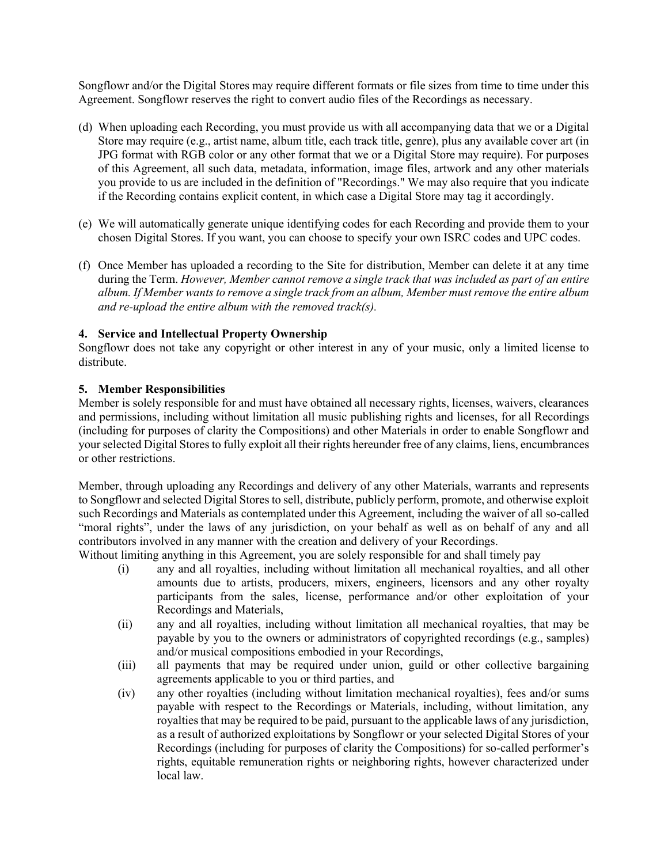Songflowr and/or the Digital Stores may require different formats or file sizes from time to time under this Agreement. Songflowr reserves the right to convert audio files of the Recordings as necessary.

- (d) When uploading each Recording, you must provide us with all accompanying data that we or a Digital Store may require (e.g., artist name, album title, each track title, genre), plus any available cover art (in JPG format with RGB color or any other format that we or a Digital Store may require). For purposes of this Agreement, all such data, metadata, information, image files, artwork and any other materials you provide to us are included in the definition of "Recordings." We may also require that you indicate if the Recording contains explicit content, in which case a Digital Store may tag it accordingly.
- (e) We will automatically generate unique identifying codes for each Recording and provide them to your chosen Digital Stores. If you want, you can choose to specify your own ISRC codes and UPC codes.
- (f) Once Member has uploaded a recording to the Site for distribution, Member can delete it at any time during the Term. *However, Member cannot remove a single track that was included as part of an entire album. If Member wants to remove a single track from an album, Member must remove the entire album and re-upload the entire album with the removed track(s).*

## **4. Service and Intellectual Property Ownership**

Songflowr does not take any copyright or other interest in any of your music, only a limited license to distribute.

#### **5. Member Responsibilities**

Member is solely responsible for and must have obtained all necessary rights, licenses, waivers, clearances and permissions, including without limitation all music publishing rights and licenses, for all Recordings (including for purposes of clarity the Compositions) and other Materials in order to enable Songflowr and your selected Digital Stores to fully exploit all their rights hereunder free of any claims, liens, encumbrances or other restrictions.

Member, through uploading any Recordings and delivery of any other Materials, warrants and represents to Songflowr and selected Digital Stores to sell, distribute, publicly perform, promote, and otherwise exploit such Recordings and Materials as contemplated under this Agreement, including the waiver of all so-called "moral rights", under the laws of any jurisdiction, on your behalf as well as on behalf of any and all contributors involved in any manner with the creation and delivery of your Recordings.

- Without limiting anything in this Agreement, you are solely responsible for and shall timely pay
	- (i) any and all royalties, including without limitation all mechanical royalties, and all other amounts due to artists, producers, mixers, engineers, licensors and any other royalty participants from the sales, license, performance and/or other exploitation of your Recordings and Materials,
	- (ii) any and all royalties, including without limitation all mechanical royalties, that may be payable by you to the owners or administrators of copyrighted recordings (e.g., samples) and/or musical compositions embodied in your Recordings,
	- (iii) all payments that may be required under union, guild or other collective bargaining agreements applicable to you or third parties, and
	- (iv) any other royalties (including without limitation mechanical royalties), fees and/or sums payable with respect to the Recordings or Materials, including, without limitation, any royalties that may be required to be paid, pursuant to the applicable laws of any jurisdiction, as a result of authorized exploitations by Songflowr or your selected Digital Stores of your Recordings (including for purposes of clarity the Compositions) for so-called performer's rights, equitable remuneration rights or neighboring rights, however characterized under local law.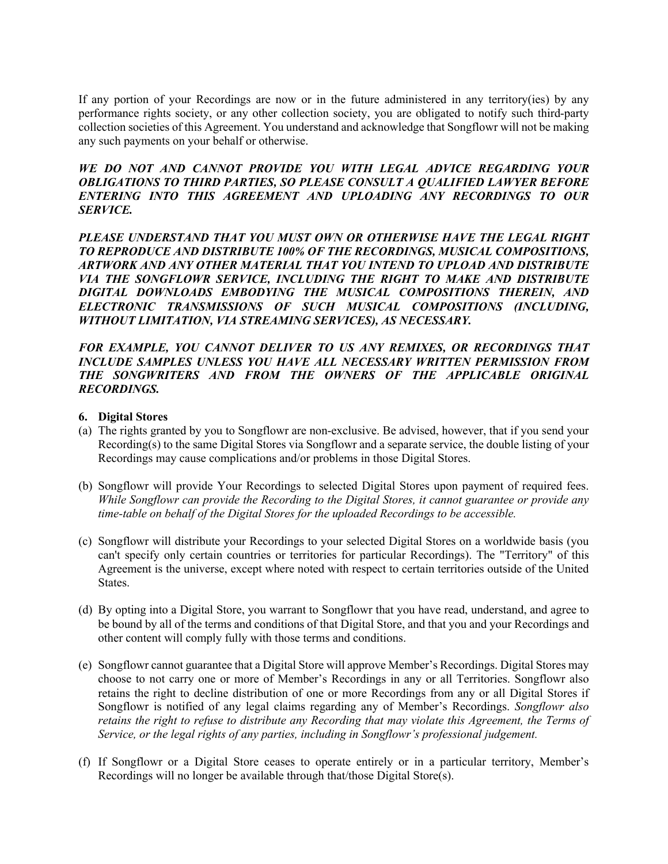If any portion of your Recordings are now or in the future administered in any territory(ies) by any performance rights society, or any other collection society, you are obligated to notify such third-party collection societies of this Agreement. You understand and acknowledge that Songflowr will not be making any such payments on your behalf or otherwise.

## *WE DO NOT AND CANNOT PROVIDE YOU WITH LEGAL ADVICE REGARDING YOUR OBLIGATIONS TO THIRD PARTIES, SO PLEASE CONSULT A QUALIFIED LAWYER BEFORE ENTERING INTO THIS AGREEMENT AND UPLOADING ANY RECORDINGS TO OUR SERVICE.*

*PLEASE UNDERSTAND THAT YOU MUST OWN OR OTHERWISE HAVE THE LEGAL RIGHT TO REPRODUCE AND DISTRIBUTE 100% OF THE RECORDINGS, MUSICAL COMPOSITIONS, ARTWORK AND ANY OTHER MATERIAL THAT YOU INTEND TO UPLOAD AND DISTRIBUTE VIA THE SONGFLOWR SERVICE, INCLUDING THE RIGHT TO MAKE AND DISTRIBUTE DIGITAL DOWNLOADS EMBODYING THE MUSICAL COMPOSITIONS THEREIN, AND ELECTRONIC TRANSMISSIONS OF SUCH MUSICAL COMPOSITIONS (INCLUDING, WITHOUT LIMITATION, VIA STREAMING SERVICES), AS NECESSARY.*

*FOR EXAMPLE, YOU CANNOT DELIVER TO US ANY REMIXES, OR RECORDINGS THAT INCLUDE SAMPLES UNLESS YOU HAVE ALL NECESSARY WRITTEN PERMISSION FROM THE SONGWRITERS AND FROM THE OWNERS OF THE APPLICABLE ORIGINAL RECORDINGS.* 

#### **6. Digital Stores**

- (a) The rights granted by you to Songflowr are non-exclusive. Be advised, however, that if you send your Recording(s) to the same Digital Stores via Songflowr and a separate service, the double listing of your Recordings may cause complications and/or problems in those Digital Stores.
- (b) Songflowr will provide Your Recordings to selected Digital Stores upon payment of required fees. *While Songflowr can provide the Recording to the Digital Stores, it cannot guarantee or provide any time-table on behalf of the Digital Stores for the uploaded Recordings to be accessible.*
- (c) Songflowr will distribute your Recordings to your selected Digital Stores on a worldwide basis (you can't specify only certain countries or territories for particular Recordings). The "Territory" of this Agreement is the universe, except where noted with respect to certain territories outside of the United States.
- (d) By opting into a Digital Store, you warrant to Songflowr that you have read, understand, and agree to be bound by all of the terms and conditions of that Digital Store, and that you and your Recordings and other content will comply fully with those terms and conditions.
- (e) Songflowr cannot guarantee that a Digital Store will approve Member's Recordings. Digital Stores may choose to not carry one or more of Member's Recordings in any or all Territories. Songflowr also retains the right to decline distribution of one or more Recordings from any or all Digital Stores if Songflowr is notified of any legal claims regarding any of Member's Recordings. *Songflowr also retains the right to refuse to distribute any Recording that may violate this Agreement, the Terms of Service, or the legal rights of any parties, including in Songflowr's professional judgement.*
- (f) If Songflowr or a Digital Store ceases to operate entirely or in a particular territory, Member's Recordings will no longer be available through that/those Digital Store(s).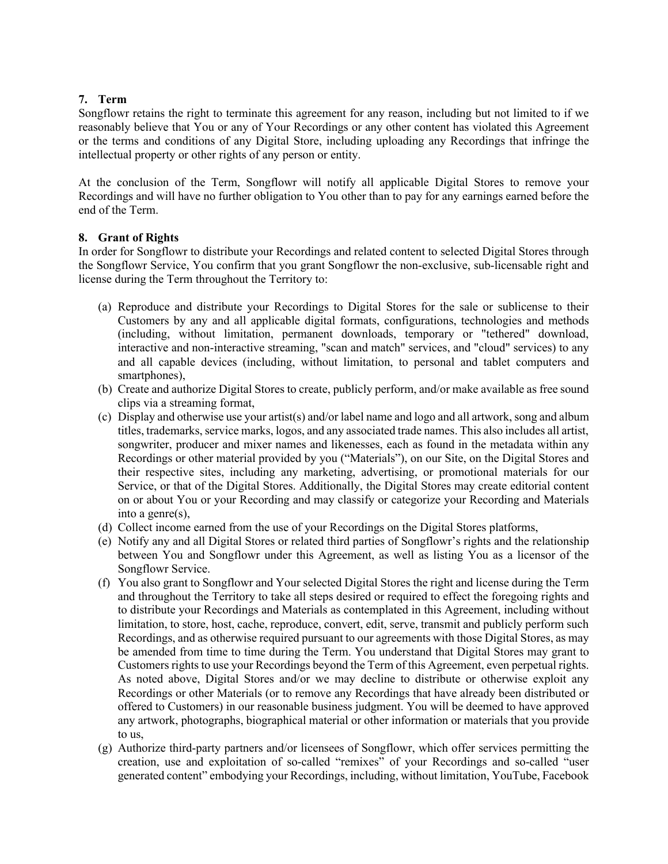## **7. Term**

Songflowr retains the right to terminate this agreement for any reason, including but not limited to if we reasonably believe that You or any of Your Recordings or any other content has violated this Agreement or the terms and conditions of any Digital Store, including uploading any Recordings that infringe the intellectual property or other rights of any person or entity.

At the conclusion of the Term, Songflowr will notify all applicable Digital Stores to remove your Recordings and will have no further obligation to You other than to pay for any earnings earned before the end of the Term.

## **8. Grant of Rights**

In order for Songflowr to distribute your Recordings and related content to selected Digital Stores through the Songflowr Service, You confirm that you grant Songflowr the non-exclusive, sub-licensable right and license during the Term throughout the Territory to:

- (a) Reproduce and distribute your Recordings to Digital Stores for the sale or sublicense to their Customers by any and all applicable digital formats, configurations, technologies and methods (including, without limitation, permanent downloads, temporary or "tethered" download, interactive and non-interactive streaming, "scan and match" services, and "cloud" services) to any and all capable devices (including, without limitation, to personal and tablet computers and smartphones),
- (b) Create and authorize Digital Stores to create, publicly perform, and/or make available as free sound clips via a streaming format,
- (c) Display and otherwise use your artist(s) and/or label name and logo and all artwork, song and album titles, trademarks, service marks, logos, and any associated trade names. This also includes all artist, songwriter, producer and mixer names and likenesses, each as found in the metadata within any Recordings or other material provided by you ("Materials"), on our Site, on the Digital Stores and their respective sites, including any marketing, advertising, or promotional materials for our Service, or that of the Digital Stores. Additionally, the Digital Stores may create editorial content on or about You or your Recording and may classify or categorize your Recording and Materials into a genre(s),
- (d) Collect income earned from the use of your Recordings on the Digital Stores platforms,
- (e) Notify any and all Digital Stores or related third parties of Songflowr's rights and the relationship between You and Songflowr under this Agreement, as well as listing You as a licensor of the Songflowr Service.
- (f) You also grant to Songflowr and Your selected Digital Stores the right and license during the Term and throughout the Territory to take all steps desired or required to effect the foregoing rights and to distribute your Recordings and Materials as contemplated in this Agreement, including without limitation, to store, host, cache, reproduce, convert, edit, serve, transmit and publicly perform such Recordings, and as otherwise required pursuant to our agreements with those Digital Stores, as may be amended from time to time during the Term. You understand that Digital Stores may grant to Customers rights to use your Recordings beyond the Term of this Agreement, even perpetual rights. As noted above, Digital Stores and/or we may decline to distribute or otherwise exploit any Recordings or other Materials (or to remove any Recordings that have already been distributed or offered to Customers) in our reasonable business judgment. You will be deemed to have approved any artwork, photographs, biographical material or other information or materials that you provide to us,
- (g) Authorize third-party partners and/or licensees of Songflowr, which offer services permitting the creation, use and exploitation of so-called "remixes" of your Recordings and so-called "user generated content" embodying your Recordings, including, without limitation, YouTube, Facebook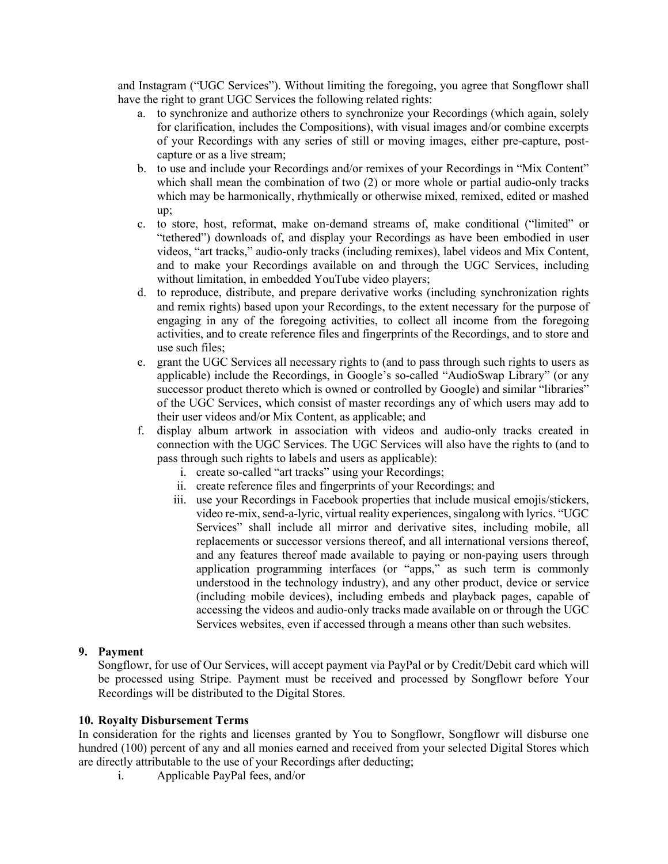and Instagram ("UGC Services"). Without limiting the foregoing, you agree that Songflowr shall have the right to grant UGC Services the following related rights:

- a. to synchronize and authorize others to synchronize your Recordings (which again, solely for clarification, includes the Compositions), with visual images and/or combine excerpts of your Recordings with any series of still or moving images, either pre-capture, postcapture or as a live stream;
- b. to use and include your Recordings and/or remixes of your Recordings in "Mix Content" which shall mean the combination of two  $(2)$  or more whole or partial audio-only tracks which may be harmonically, rhythmically or otherwise mixed, remixed, edited or mashed up;
- c. to store, host, reformat, make on-demand streams of, make conditional ("limited" or "tethered") downloads of, and display your Recordings as have been embodied in user videos, "art tracks," audio-only tracks (including remixes), label videos and Mix Content, and to make your Recordings available on and through the UGC Services, including without limitation, in embedded YouTube video players;
- d. to reproduce, distribute, and prepare derivative works (including synchronization rights and remix rights) based upon your Recordings, to the extent necessary for the purpose of engaging in any of the foregoing activities, to collect all income from the foregoing activities, and to create reference files and fingerprints of the Recordings, and to store and use such files;
- e. grant the UGC Services all necessary rights to (and to pass through such rights to users as applicable) include the Recordings, in Google's so-called "AudioSwap Library" (or any successor product thereto which is owned or controlled by Google) and similar "libraries" of the UGC Services, which consist of master recordings any of which users may add to their user videos and/or Mix Content, as applicable; and
- f. display album artwork in association with videos and audio-only tracks created in connection with the UGC Services. The UGC Services will also have the rights to (and to pass through such rights to labels and users as applicable):
	- i. create so-called "art tracks" using your Recordings;
	- ii. create reference files and fingerprints of your Recordings; and
	- iii. use your Recordings in Facebook properties that include musical emojis/stickers, video re-mix, send-a-lyric, virtual reality experiences, singalong with lyrics. "UGC Services" shall include all mirror and derivative sites, including mobile, all replacements or successor versions thereof, and all international versions thereof, and any features thereof made available to paying or non-paying users through application programming interfaces (or "apps," as such term is commonly understood in the technology industry), and any other product, device or service (including mobile devices), including embeds and playback pages, capable of accessing the videos and audio-only tracks made available on or through the UGC Services websites, even if accessed through a means other than such websites.

# **9. Payment**

Songflowr, for use of Our Services, will accept payment via PayPal or by Credit/Debit card which will be processed using Stripe. Payment must be received and processed by Songflowr before Your Recordings will be distributed to the Digital Stores.

#### **10. Royalty Disbursement Terms**

In consideration for the rights and licenses granted by You to Songflowr, Songflowr will disburse one hundred (100) percent of any and all monies earned and received from your selected Digital Stores which are directly attributable to the use of your Recordings after deducting;

i. Applicable PayPal fees, and/or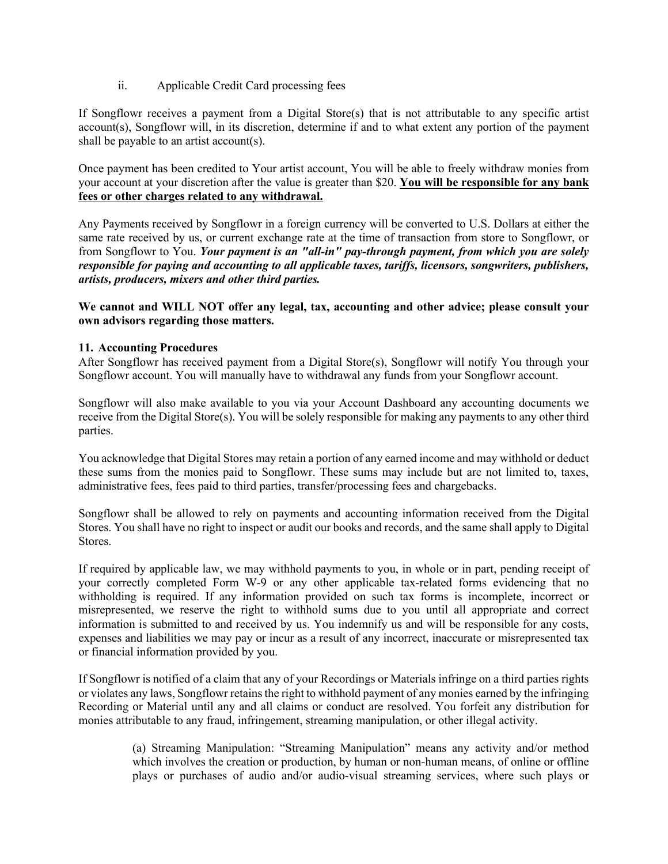ii. Applicable Credit Card processing fees

If Songflowr receives a payment from a Digital Store(s) that is not attributable to any specific artist account(s), Songflowr will, in its discretion, determine if and to what extent any portion of the payment shall be payable to an artist account(s).

Once payment has been credited to Your artist account, You will be able to freely withdraw monies from your account at your discretion after the value is greater than \$20. **You will be responsible for any bank fees or other charges related to any withdrawal.** 

Any Payments received by Songflowr in a foreign currency will be converted to U.S. Dollars at either the same rate received by us, or current exchange rate at the time of transaction from store to Songflowr, or from Songflowr to You. *Your payment is an "all-in" pay-through payment, from which you are solely responsible for paying and accounting to all applicable taxes, tariffs, licensors, songwriters, publishers, artists, producers, mixers and other third parties.*

**We cannot and WILL NOT offer any legal, tax, accounting and other advice; please consult your own advisors regarding those matters.**

## **11. Accounting Procedures**

After Songflowr has received payment from a Digital Store(s), Songflowr will notify You through your Songflowr account. You will manually have to withdrawal any funds from your Songflowr account.

Songflowr will also make available to you via your Account Dashboard any accounting documents we receive from the Digital Store(s). You will be solely responsible for making any payments to any other third parties.

You acknowledge that Digital Stores may retain a portion of any earned income and may withhold or deduct these sums from the monies paid to Songflowr. These sums may include but are not limited to, taxes, administrative fees, fees paid to third parties, transfer/processing fees and chargebacks.

Songflowr shall be allowed to rely on payments and accounting information received from the Digital Stores. You shall have no right to inspect or audit our books and records, and the same shall apply to Digital Stores.

If required by applicable law, we may withhold payments to you, in whole or in part, pending receipt of your correctly completed Form W-9 or any other applicable tax-related forms evidencing that no withholding is required. If any information provided on such tax forms is incomplete, incorrect or misrepresented, we reserve the right to withhold sums due to you until all appropriate and correct information is submitted to and received by us. You indemnify us and will be responsible for any costs, expenses and liabilities we may pay or incur as a result of any incorrect, inaccurate or misrepresented tax or financial information provided by you.

If Songflowr is notified of a claim that any of your Recordings or Materials infringe on a third parties rights or violates any laws, Songflowr retains the right to withhold payment of any monies earned by the infringing Recording or Material until any and all claims or conduct are resolved. You forfeit any distribution for monies attributable to any fraud, infringement, streaming manipulation, or other illegal activity.

> (a) Streaming Manipulation: "Streaming Manipulation" means any activity and/or method which involves the creation or production, by human or non-human means, of online or offline plays or purchases of audio and/or audio-visual streaming services, where such plays or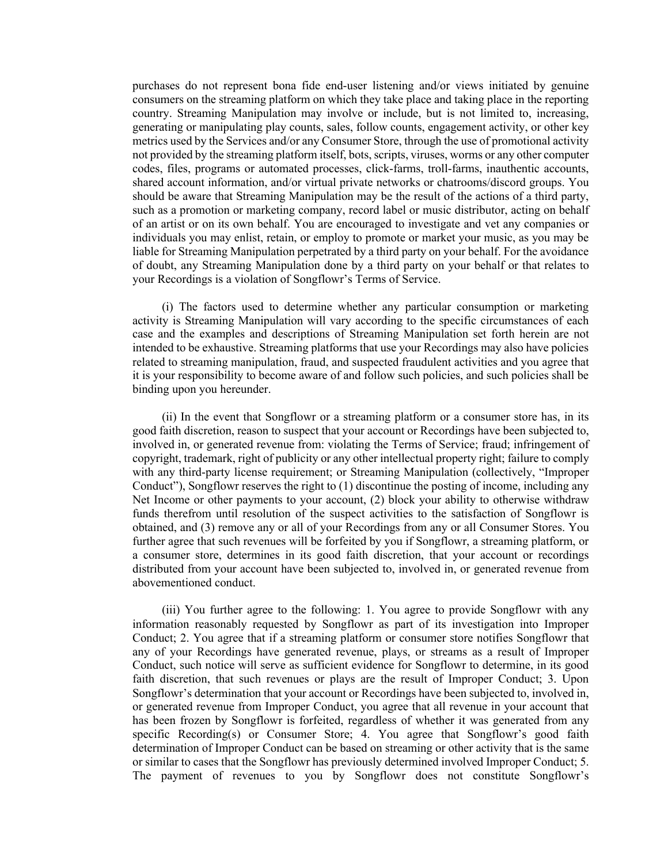purchases do not represent bona fide end-user listening and/or views initiated by genuine consumers on the streaming platform on which they take place and taking place in the reporting country. Streaming Manipulation may involve or include, but is not limited to, increasing, generating or manipulating play counts, sales, follow counts, engagement activity, or other key metrics used by the Services and/or any Consumer Store, through the use of promotional activity not provided by the streaming platform itself, bots, scripts, viruses, worms or any other computer codes, files, programs or automated processes, click-farms, troll-farms, inauthentic accounts, shared account information, and/or virtual private networks or chatrooms/discord groups. You should be aware that Streaming Manipulation may be the result of the actions of a third party, such as a promotion or marketing company, record label or music distributor, acting on behalf of an artist or on its own behalf. You are encouraged to investigate and vet any companies or individuals you may enlist, retain, or employ to promote or market your music, as you may be liable for Streaming Manipulation perpetrated by a third party on your behalf. For the avoidance of doubt, any Streaming Manipulation done by a third party on your behalf or that relates to your Recordings is a violation of Songflowr's Terms of Service.

(i) The factors used to determine whether any particular consumption or marketing activity is Streaming Manipulation will vary according to the specific circumstances of each case and the examples and descriptions of Streaming Manipulation set forth herein are not intended to be exhaustive. Streaming platforms that use your Recordings may also have policies related to streaming manipulation, fraud, and suspected fraudulent activities and you agree that it is your responsibility to become aware of and follow such policies, and such policies shall be binding upon you hereunder.

(ii) In the event that Songflowr or a streaming platform or a consumer store has, in its good faith discretion, reason to suspect that your account or Recordings have been subjected to, involved in, or generated revenue from: violating the Terms of Service; fraud; infringement of copyright, trademark, right of publicity or any other intellectual property right; failure to comply with any third-party license requirement; or Streaming Manipulation (collectively, "Improper Conduct"), Songflowr reserves the right to (1) discontinue the posting of income, including any Net Income or other payments to your account, (2) block your ability to otherwise withdraw funds therefrom until resolution of the suspect activities to the satisfaction of Songflowr is obtained, and (3) remove any or all of your Recordings from any or all Consumer Stores. You further agree that such revenues will be forfeited by you if Songflowr, a streaming platform, or a consumer store, determines in its good faith discretion, that your account or recordings distributed from your account have been subjected to, involved in, or generated revenue from abovementioned conduct.

(iii) You further agree to the following: 1. You agree to provide Songflowr with any information reasonably requested by Songflowr as part of its investigation into Improper Conduct; 2. You agree that if a streaming platform or consumer store notifies Songflowr that any of your Recordings have generated revenue, plays, or streams as a result of Improper Conduct, such notice will serve as sufficient evidence for Songflowr to determine, in its good faith discretion, that such revenues or plays are the result of Improper Conduct; 3. Upon Songflowr's determination that your account or Recordings have been subjected to, involved in, or generated revenue from Improper Conduct, you agree that all revenue in your account that has been frozen by Songflowr is forfeited, regardless of whether it was generated from any specific Recording(s) or Consumer Store; 4. You agree that Songflowr's good faith determination of Improper Conduct can be based on streaming or other activity that is the same or similar to cases that the Songflowr has previously determined involved Improper Conduct; 5. The payment of revenues to you by Songflowr does not constitute Songflowr's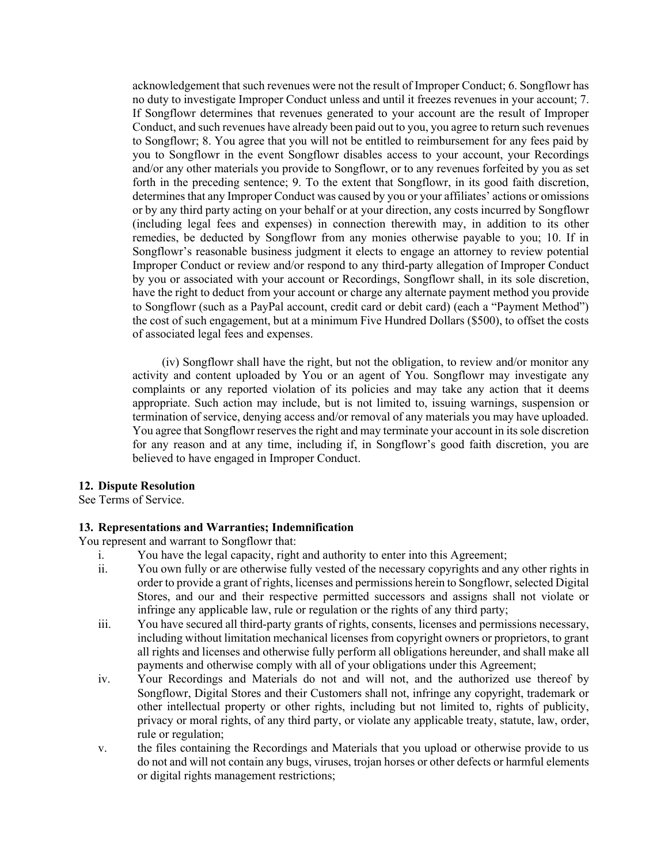acknowledgement that such revenues were not the result of Improper Conduct; 6. Songflowr has no duty to investigate Improper Conduct unless and until it freezes revenues in your account; 7. If Songflowr determines that revenues generated to your account are the result of Improper Conduct, and such revenues have already been paid out to you, you agree to return such revenues to Songflowr; 8. You agree that you will not be entitled to reimbursement for any fees paid by you to Songflowr in the event Songflowr disables access to your account, your Recordings and/or any other materials you provide to Songflowr, or to any revenues forfeited by you as set forth in the preceding sentence; 9. To the extent that Songflowr, in its good faith discretion, determines that any Improper Conduct was caused by you or your affiliates' actions or omissions or by any third party acting on your behalf or at your direction, any costs incurred by Songflowr (including legal fees and expenses) in connection therewith may, in addition to its other remedies, be deducted by Songflowr from any monies otherwise payable to you; 10. If in Songflowr's reasonable business judgment it elects to engage an attorney to review potential Improper Conduct or review and/or respond to any third-party allegation of Improper Conduct by you or associated with your account or Recordings, Songflowr shall, in its sole discretion, have the right to deduct from your account or charge any alternate payment method you provide to Songflowr (such as a PayPal account, credit card or debit card) (each a "Payment Method") the cost of such engagement, but at a minimum Five Hundred Dollars (\$500), to offset the costs of associated legal fees and expenses.

(iv) Songflowr shall have the right, but not the obligation, to review and/or monitor any activity and content uploaded by You or an agent of You. Songflowr may investigate any complaints or any reported violation of its policies and may take any action that it deems appropriate. Such action may include, but is not limited to, issuing warnings, suspension or termination of service, denying access and/or removal of any materials you may have uploaded. You agree that Songflowr reserves the right and may terminate your account in its sole discretion for any reason and at any time, including if, in Songflowr's good faith discretion, you are believed to have engaged in Improper Conduct.

#### **12. Dispute Resolution**

See Terms of Service.

#### **13. Representations and Warranties; Indemnification**

You represent and warrant to Songflowr that:

- i. You have the legal capacity, right and authority to enter into this Agreement;
- ii. You own fully or are otherwise fully vested of the necessary copyrights and any other rights in order to provide a grant of rights, licenses and permissions herein to Songflowr, selected Digital Stores, and our and their respective permitted successors and assigns shall not violate or infringe any applicable law, rule or regulation or the rights of any third party;
- iii. You have secured all third-party grants of rights, consents, licenses and permissions necessary, including without limitation mechanical licenses from copyright owners or proprietors, to grant all rights and licenses and otherwise fully perform all obligations hereunder, and shall make all payments and otherwise comply with all of your obligations under this Agreement;
- iv. Your Recordings and Materials do not and will not, and the authorized use thereof by Songflowr, Digital Stores and their Customers shall not, infringe any copyright, trademark or other intellectual property or other rights, including but not limited to, rights of publicity, privacy or moral rights, of any third party, or violate any applicable treaty, statute, law, order, rule or regulation;
- v. the files containing the Recordings and Materials that you upload or otherwise provide to us do not and will not contain any bugs, viruses, trojan horses or other defects or harmful elements or digital rights management restrictions;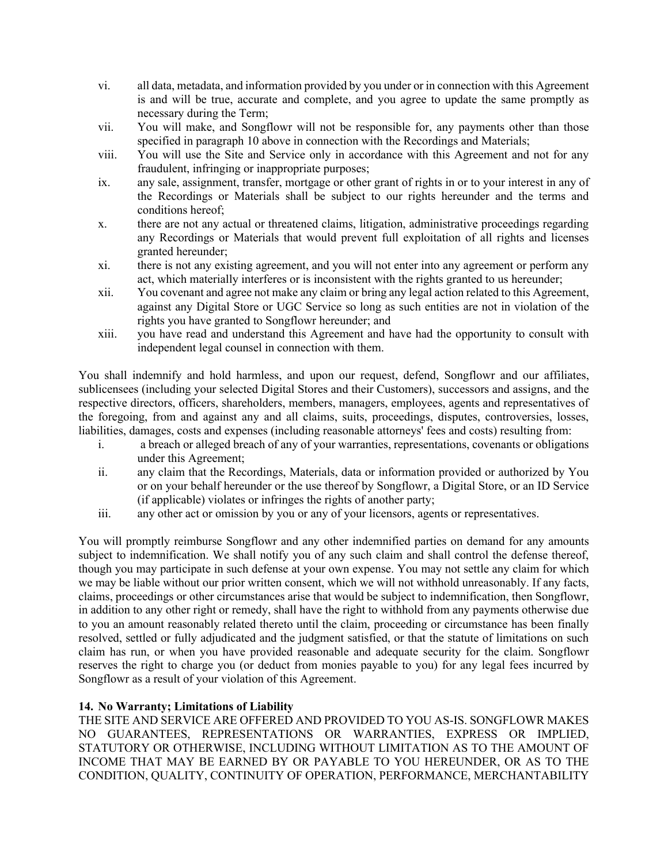- vi. all data, metadata, and information provided by you under or in connection with this Agreement is and will be true, accurate and complete, and you agree to update the same promptly as necessary during the Term;
- vii. You will make, and Songflowr will not be responsible for, any payments other than those specified in paragraph 10 above in connection with the Recordings and Materials;
- viii. You will use the Site and Service only in accordance with this Agreement and not for any fraudulent, infringing or inappropriate purposes;
- ix. any sale, assignment, transfer, mortgage or other grant of rights in or to your interest in any of the Recordings or Materials shall be subject to our rights hereunder and the terms and conditions hereof;
- x. there are not any actual or threatened claims, litigation, administrative proceedings regarding any Recordings or Materials that would prevent full exploitation of all rights and licenses granted hereunder;
- xi. there is not any existing agreement, and you will not enter into any agreement or perform any act, which materially interferes or is inconsistent with the rights granted to us hereunder;
- xii. You covenant and agree not make any claim or bring any legal action related to this Agreement, against any Digital Store or UGC Service so long as such entities are not in violation of the rights you have granted to Songflowr hereunder; and
- xiii. you have read and understand this Agreement and have had the opportunity to consult with independent legal counsel in connection with them.

You shall indemnify and hold harmless, and upon our request, defend, Songflowr and our affiliates, sublicensees (including your selected Digital Stores and their Customers), successors and assigns, and the respective directors, officers, shareholders, members, managers, employees, agents and representatives of the foregoing, from and against any and all claims, suits, proceedings, disputes, controversies, losses, liabilities, damages, costs and expenses (including reasonable attorneys' fees and costs) resulting from:

- i. a breach or alleged breach of any of your warranties, representations, covenants or obligations under this Agreement;
- ii. any claim that the Recordings, Materials, data or information provided or authorized by You or on your behalf hereunder or the use thereof by Songflowr, a Digital Store, or an ID Service (if applicable) violates or infringes the rights of another party;
- iii. any other act or omission by you or any of your licensors, agents or representatives.

You will promptly reimburse Songflowr and any other indemnified parties on demand for any amounts subject to indemnification. We shall notify you of any such claim and shall control the defense thereof, though you may participate in such defense at your own expense. You may not settle any claim for which we may be liable without our prior written consent, which we will not withhold unreasonably. If any facts, claims, proceedings or other circumstances arise that would be subject to indemnification, then Songflowr, in addition to any other right or remedy, shall have the right to withhold from any payments otherwise due to you an amount reasonably related thereto until the claim, proceeding or circumstance has been finally resolved, settled or fully adjudicated and the judgment satisfied, or that the statute of limitations on such claim has run, or when you have provided reasonable and adequate security for the claim. Songflowr reserves the right to charge you (or deduct from monies payable to you) for any legal fees incurred by Songflowr as a result of your violation of this Agreement.

# **14. No Warranty; Limitations of Liability**

THE SITE AND SERVICE ARE OFFERED AND PROVIDED TO YOU AS-IS. SONGFLOWR MAKES NO GUARANTEES, REPRESENTATIONS OR WARRANTIES, EXPRESS OR IMPLIED, STATUTORY OR OTHERWISE, INCLUDING WITHOUT LIMITATION AS TO THE AMOUNT OF INCOME THAT MAY BE EARNED BY OR PAYABLE TO YOU HEREUNDER, OR AS TO THE CONDITION, QUALITY, CONTINUITY OF OPERATION, PERFORMANCE, MERCHANTABILITY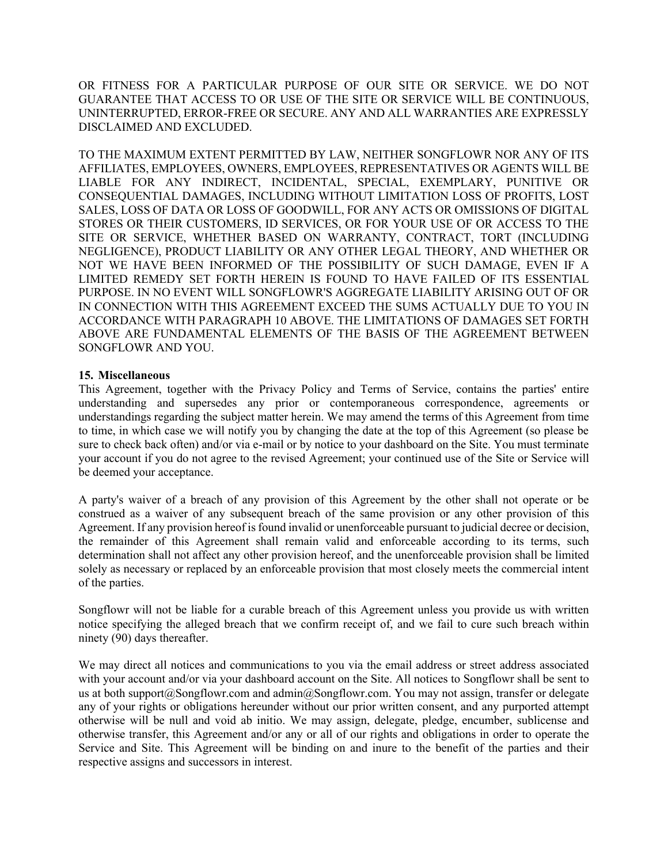OR FITNESS FOR A PARTICULAR PURPOSE OF OUR SITE OR SERVICE. WE DO NOT GUARANTEE THAT ACCESS TO OR USE OF THE SITE OR SERVICE WILL BE CONTINUOUS, UNINTERRUPTED, ERROR-FREE OR SECURE. ANY AND ALL WARRANTIES ARE EXPRESSLY DISCLAIMED AND EXCLUDED.

TO THE MAXIMUM EXTENT PERMITTED BY LAW, NEITHER SONGFLOWR NOR ANY OF ITS AFFILIATES, EMPLOYEES, OWNERS, EMPLOYEES, REPRESENTATIVES OR AGENTS WILL BE LIABLE FOR ANY INDIRECT, INCIDENTAL, SPECIAL, EXEMPLARY, PUNITIVE OR CONSEQUENTIAL DAMAGES, INCLUDING WITHOUT LIMITATION LOSS OF PROFITS, LOST SALES, LOSS OF DATA OR LOSS OF GOODWILL, FOR ANY ACTS OR OMISSIONS OF DIGITAL STORES OR THEIR CUSTOMERS, ID SERVICES, OR FOR YOUR USE OF OR ACCESS TO THE SITE OR SERVICE, WHETHER BASED ON WARRANTY, CONTRACT, TORT (INCLUDING NEGLIGENCE), PRODUCT LIABILITY OR ANY OTHER LEGAL THEORY, AND WHETHER OR NOT WE HAVE BEEN INFORMED OF THE POSSIBILITY OF SUCH DAMAGE, EVEN IF A LIMITED REMEDY SET FORTH HEREIN IS FOUND TO HAVE FAILED OF ITS ESSENTIAL PURPOSE. IN NO EVENT WILL SONGFLOWR'S AGGREGATE LIABILITY ARISING OUT OF OR IN CONNECTION WITH THIS AGREEMENT EXCEED THE SUMS ACTUALLY DUE TO YOU IN ACCORDANCE WITH PARAGRAPH 10 ABOVE. THE LIMITATIONS OF DAMAGES SET FORTH ABOVE ARE FUNDAMENTAL ELEMENTS OF THE BASIS OF THE AGREEMENT BETWEEN SONGFLOWR AND YOU.

#### **15. Miscellaneous**

This Agreement, together with the Privacy Policy and Terms of Service, contains the parties' entire understanding and supersedes any prior or contemporaneous correspondence, agreements or understandings regarding the subject matter herein. We may amend the terms of this Agreement from time to time, in which case we will notify you by changing the date at the top of this Agreement (so please be sure to check back often) and/or via e-mail or by notice to your dashboard on the Site. You must terminate your account if you do not agree to the revised Agreement; your continued use of the Site or Service will be deemed your acceptance.

A party's waiver of a breach of any provision of this Agreement by the other shall not operate or be construed as a waiver of any subsequent breach of the same provision or any other provision of this Agreement. If any provision hereof is found invalid or unenforceable pursuant to judicial decree or decision, the remainder of this Agreement shall remain valid and enforceable according to its terms, such determination shall not affect any other provision hereof, and the unenforceable provision shall be limited solely as necessary or replaced by an enforceable provision that most closely meets the commercial intent of the parties.

Songflowr will not be liable for a curable breach of this Agreement unless you provide us with written notice specifying the alleged breach that we confirm receipt of, and we fail to cure such breach within ninety (90) days thereafter.

We may direct all notices and communications to you via the email address or street address associated with your account and/or via your dashboard account on the Site. All notices to Songflowr shall be sent to us at both support@Songflowr.com and admin@Songflowr.com. You may not assign, transfer or delegate any of your rights or obligations hereunder without our prior written consent, and any purported attempt otherwise will be null and void ab initio. We may assign, delegate, pledge, encumber, sublicense and otherwise transfer, this Agreement and/or any or all of our rights and obligations in order to operate the Service and Site. This Agreement will be binding on and inure to the benefit of the parties and their respective assigns and successors in interest.